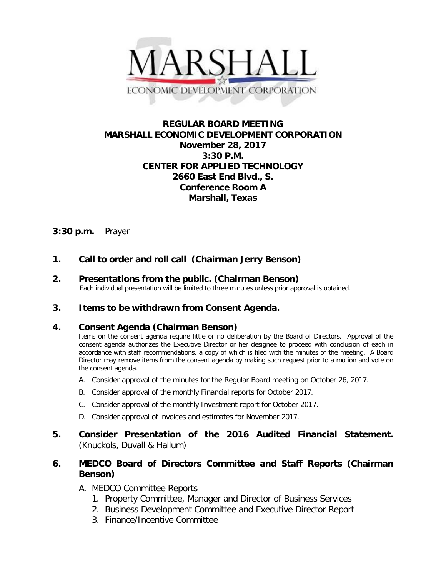

# **REGULAR BOARD MEETING MARSHALL ECONOMIC DEVELOPMENT CORPORATION November 28, 2017 3:30 P.M. CENTER FOR APPLIED TECHNOLOGY 2660 East End Blvd., S. Conference Room A Marshall, Texas**

## **3:30 p.m.** Prayer

# **1. Call to order and roll call (Chairman Jerry Benson)**

# **2. Presentations from the public. (Chairman Benson)**<br>Each individual presentation will be limited to three minutes unless prior approval is obtained.

## **3. Items to be withdrawn from Consent Agenda.**

## **4. Consent Agenda (Chairman Benson)**

Items on the consent agenda require little or no deliberation by the Board of Directors. Approval of the consent agenda authorizes the Executive Director or her designee to proceed with conclusion of each in accordance with staff recommendations, a copy of which is filed with the minutes of the meeting. A Board Director may remove items from the consent agenda by making such request prior to a motion and vote on the consent agenda.

- A. Consider approval of the minutes for the Regular Board meeting on October 26, 2017.
- B. Consider approval of the monthly Financial reports for October 2017.
- C. Consider approval of the monthly Investment report for October 2017.
- D. Consider approval of invoices and estimates for November 2017.
- **5. Consider Presentation of the 2016 Audited Financial Statement.** (Knuckols, Duvall & Hallum)

## **6. MEDCO Board of Directors Committee and Staff Reports (Chairman Benson)**

- A. MEDCO Committee Reports
	- 1. Property Committee, Manager and Director of Business Services
	- 2. Business Development Committee and Executive Director Report
	- 3. Finance/Incentive Committee